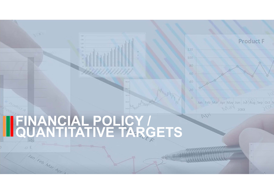

# **FINANCIAL POLICY / QUANTITATIVE TARGETS**

 $O<sub>1</sub>$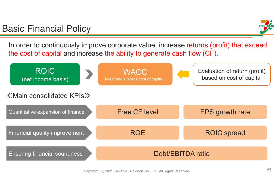### Basic Financial Policy

In order to continuously improve corporate value, increase returns (profit) that exceed the cost of capital and increase the ability to generate cash flow (CF).

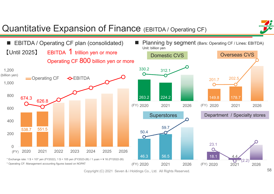

Copyright (C) 2021 Seven & i Holdings Co., Ltd. All Rights Reserved.

58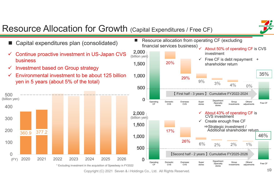

## Resource Allocation for Growth (Capital Expenditures / Free CF)

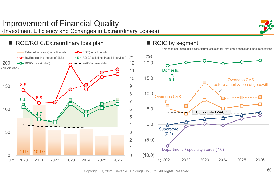### (Investment Efficiency and Cchanges in Extraordinary Losses) ROE/ROIC/Extraordinary loss plan ROIC by segment m. \* Management accounting base figures adjusted for intra-group capital and fund transactions Extraordinary loss(consolidated)  $\leftarrow \leftarrow$  ROE(consolidated)  $(%)$   $(%)$  $\rightarrow$   $\rightarrow$  ROE(excluding impact of SLB)  $\rightarrow$   $\rightarrow$  ROIC(excluding financial services) 2001220.0 ROIC(consolidated) WACC(consolidated) (billion yen) 11Domestic**CVS** 1015.019.1Overseas CVS before amortization of goodwill 8.5 1509810.0Overseas CVS  $6.6 - 6.8$ 75.25.01006Consolidated WACC 4.7 50.04 $\bf\Delta$ **Superstore** 503(0.2) (5.0) 2 1Department / specialty stores (7.0) 79.9 109.0 (10.0) 0 $\Omega$ 2021 2022 2023 2024 2025 2026 (FY) 2020 2021 2022 2023 2024 2025 2026 (FY) 2020 2021 2022 2023 2024 2025 2026

Improvement of Financial Quality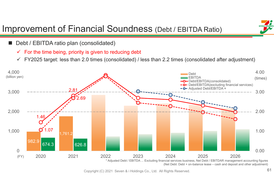### Improvement of Financial Soundness (Debt / EBITDA Ratio)

- m. Debt / EBITDA ratio plan (consolidated)
	- $\sqrt{ }$ For the time being, priority is given to reducing debt
	- $\checkmark$ FY2025 target: less than 2.0 times (consolidated) / less than 2.2 times (consolidated after adjustment)

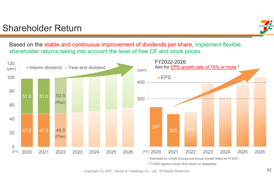### Shareholder Return



Based on the stable and continuous improvement of dividends per share, implement flexible shareholder returns taking into account the level of free CF and stock prices.